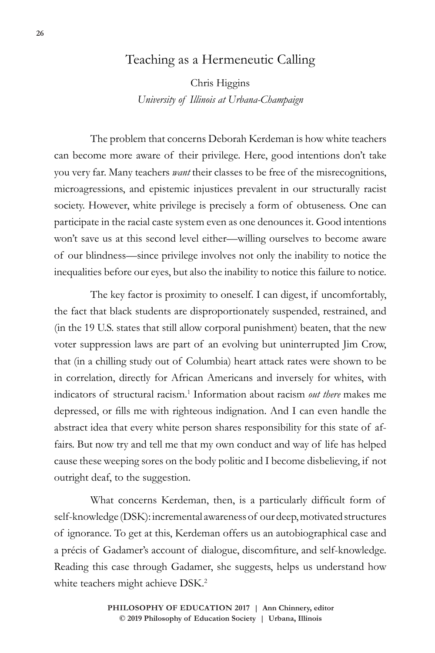## Teaching as a Hermeneutic Calling

Chris Higgins *University of Illinois at Urbana-Champaign*

The problem that concerns Deborah Kerdeman is how white teachers can become more aware of their privilege. Here, good intentions don't take you very far. Many teachers *want* their classes to be free of the misrecognitions, microagressions, and epistemic injustices prevalent in our structurally racist society. However, white privilege is precisely a form of obtuseness. One can participate in the racial caste system even as one denounces it. Good intentions won't save us at this second level either—willing ourselves to become aware of our blindness—since privilege involves not only the inability to notice the inequalities before our eyes, but also the inability to notice this failure to notice.

The key factor is proximity to oneself. I can digest, if uncomfortably, the fact that black students are disproportionately suspended, restrained, and (in the 19 U.S. states that still allow corporal punishment) beaten, that the new voter suppression laws are part of an evolving but uninterrupted Jim Crow, that (in a chilling study out of Columbia) heart attack rates were shown to be in correlation, directly for African Americans and inversely for whites, with indicators of structural racism.1 Information about racism *out there* makes me depressed, or fills me with righteous indignation. And I can even handle the abstract idea that every white person shares responsibility for this state of affairs. But now try and tell me that my own conduct and way of life has helped cause these weeping sores on the body politic and I become disbelieving, if not outright deaf, to the suggestion.

What concerns Kerdeman, then, is a particularly difficult form of self-knowledge (DSK): incremental awareness of our deep, motivated structures of ignorance. To get at this, Kerdeman offers us an autobiographical case and a précis of Gadamer's account of dialogue, discomfiture, and self-knowledge. Reading this case through Gadamer, she suggests, helps us understand how white teachers might achieve DSK.<sup>2</sup>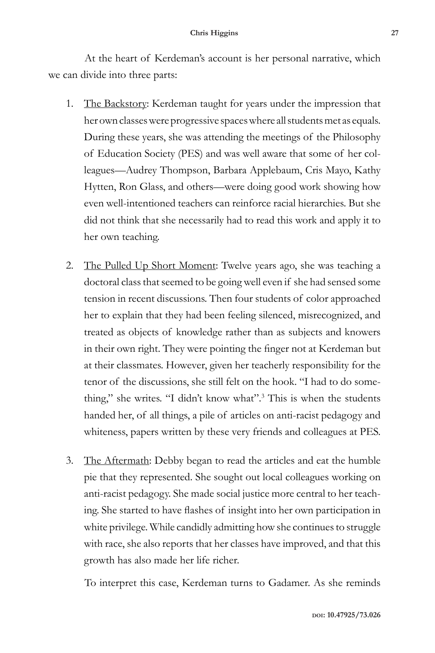At the heart of Kerdeman's account is her personal narrative, which we can divide into three parts:

- 1. The Backstory: Kerdeman taught for years under the impression that her own classes were progressive spaces where all students met as equals. During these years, she was attending the meetings of the Philosophy of Education Society (PES) and was well aware that some of her colleagues—Audrey Thompson, Barbara Applebaum, Cris Mayo, Kathy Hytten, Ron Glass, and others—were doing good work showing how even well-intentioned teachers can reinforce racial hierarchies. But she did not think that she necessarily had to read this work and apply it to her own teaching.
- 2. The Pulled Up Short Moment: Twelve years ago, she was teaching a doctoral class that seemed to be going well even if she had sensed some tension in recent discussions. Then four students of color approached her to explain that they had been feeling silenced, misrecognized, and treated as objects of knowledge rather than as subjects and knowers in their own right. They were pointing the finger not at Kerdeman but at their classmates. However, given her teacherly responsibility for the tenor of the discussions, she still felt on the hook. "I had to do something," she writes. "I didn't know what".<sup>3</sup> This is when the students handed her, of all things, a pile of articles on anti-racist pedagogy and whiteness, papers written by these very friends and colleagues at PES.
- 3. The Aftermath: Debby began to read the articles and eat the humble pie that they represented. She sought out local colleagues working on anti-racist pedagogy. She made social justice more central to her teaching. She started to have flashes of insight into her own participation in white privilege. While candidly admitting how she continues to struggle with race, she also reports that her classes have improved, and that this growth has also made her life richer.

To interpret this case, Kerdeman turns to Gadamer. As she reminds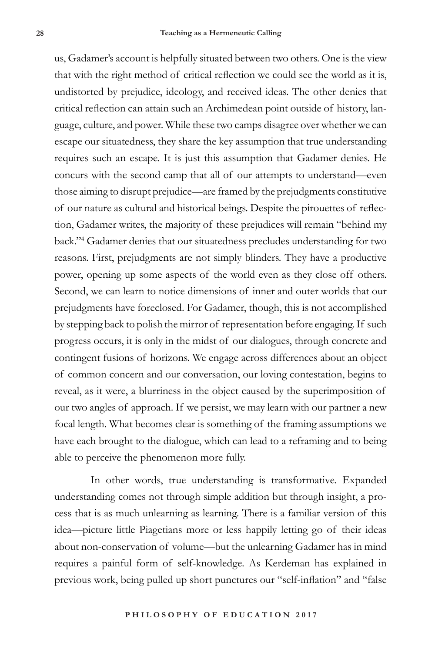us, Gadamer's account is helpfully situated between two others. One is the view that with the right method of critical reflection we could see the world as it is, undistorted by prejudice, ideology, and received ideas. The other denies that critical reflection can attain such an Archimedean point outside of history, language, culture, and power. While these two camps disagree over whether we can escape our situatedness, they share the key assumption that true understanding requires such an escape. It is just this assumption that Gadamer denies. He concurs with the second camp that all of our attempts to understand—even those aiming to disrupt prejudice—are framed by the prejudgments constitutive of our nature as cultural and historical beings. Despite the pirouettes of reflection, Gadamer writes, the majority of these prejudices will remain "behind my back."4 Gadamer denies that our situatedness precludes understanding for two reasons. First, prejudgments are not simply blinders. They have a productive power, opening up some aspects of the world even as they close off others. Second, we can learn to notice dimensions of inner and outer worlds that our prejudgments have foreclosed. For Gadamer, though, this is not accomplished by stepping back to polish the mirror of representation before engaging. If such progress occurs, it is only in the midst of our dialogues, through concrete and contingent fusions of horizons. We engage across differences about an object of common concern and our conversation, our loving contestation, begins to reveal, as it were, a blurriness in the object caused by the superimposition of our two angles of approach. If we persist, we may learn with our partner a new focal length. What becomes clear is something of the framing assumptions we have each brought to the dialogue, which can lead to a reframing and to being able to perceive the phenomenon more fully.

In other words, true understanding is transformative. Expanded understanding comes not through simple addition but through insight, a process that is as much unlearning as learning. There is a familiar version of this idea—picture little Piagetians more or less happily letting go of their ideas about non-conservation of volume—but the unlearning Gadamer has in mind requires a painful form of self-knowledge. As Kerdeman has explained in previous work, being pulled up short punctures our "self-inflation" and "false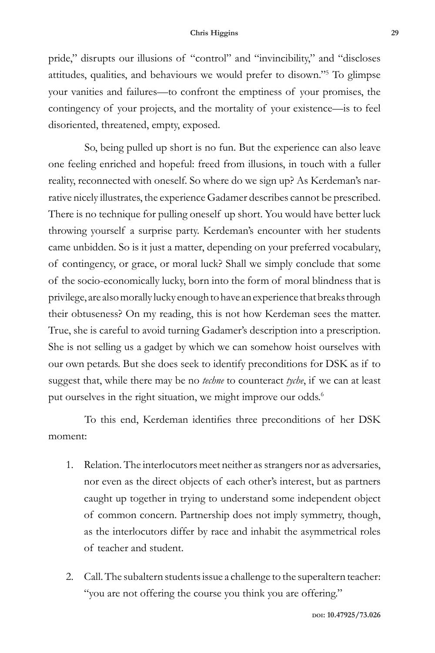pride," disrupts our illusions of "control" and "invincibility," and "discloses attitudes, qualities, and behaviours we would prefer to disown."5 To glimpse your vanities and failures—to confront the emptiness of your promises, the contingency of your projects, and the mortality of your existence—is to feel disoriented, threatened, empty, exposed.

So, being pulled up short is no fun. But the experience can also leave one feeling enriched and hopeful: freed from illusions, in touch with a fuller reality, reconnected with oneself. So where do we sign up? As Kerdeman's narrative nicely illustrates, the experience Gadamer describes cannot be prescribed. There is no technique for pulling oneself up short. You would have better luck throwing yourself a surprise party. Kerdeman's encounter with her students came unbidden. So is it just a matter, depending on your preferred vocabulary, of contingency, or grace, or moral luck? Shall we simply conclude that some of the socio-economically lucky, born into the form of moral blindness that is privilege, are also morally lucky enough to have an experience that breaks through their obtuseness? On my reading, this is not how Kerdeman sees the matter. True, she is careful to avoid turning Gadamer's description into a prescription. She is not selling us a gadget by which we can somehow hoist ourselves with our own petards. But she does seek to identify preconditions for DSK as if to suggest that, while there may be no *techne* to counteract *tyche*, if we can at least put ourselves in the right situation, we might improve our odds.<sup>6</sup>

To this end, Kerdeman identifies three preconditions of her DSK moment:

- 1. Relation. The interlocutors meet neither as strangers nor as adversaries, nor even as the direct objects of each other's interest, but as partners caught up together in trying to understand some independent object of common concern. Partnership does not imply symmetry, though, as the interlocutors differ by race and inhabit the asymmetrical roles of teacher and student.
- 2. Call. The subaltern students issue a challenge to the superaltern teacher: "you are not offering the course you think you are offering."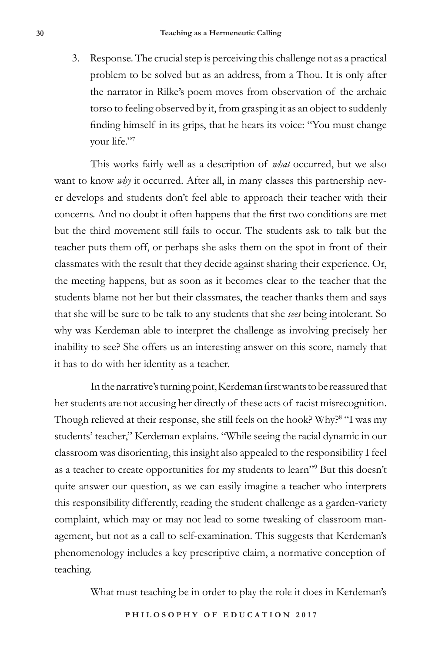3. Response. The crucial step is perceiving this challenge not as a practical problem to be solved but as an address, from a Thou. It is only after the narrator in Rilke's poem moves from observation of the archaic torso to feeling observed by it, from grasping it as an object to suddenly finding himself in its grips, that he hears its voice: "You must change your life."7

This works fairly well as a description of *what* occurred, but we also want to know *why* it occurred. After all, in many classes this partnership never develops and students don't feel able to approach their teacher with their concerns. And no doubt it often happens that the first two conditions are met but the third movement still fails to occur. The students ask to talk but the teacher puts them off, or perhaps she asks them on the spot in front of their classmates with the result that they decide against sharing their experience. Or, the meeting happens, but as soon as it becomes clear to the teacher that the students blame not her but their classmates, the teacher thanks them and says that she will be sure to be talk to any students that she *sees* being intolerant. So why was Kerdeman able to interpret the challenge as involving precisely her inability to see? She offers us an interesting answer on this score, namely that it has to do with her identity as a teacher.

In the narrative's turning point, Kerdeman first wants to be reassured that her students are not accusing her directly of these acts of racist misrecognition. Though relieved at their response, she still feels on the hook? Why?<sup>8</sup> "I was my students' teacher," Kerdeman explains. "While seeing the racial dynamic in our classroom was disorienting, this insight also appealed to the responsibility I feel as a teacher to create opportunities for my students to learn"9 But this doesn't quite answer our question, as we can easily imagine a teacher who interprets this responsibility differently, reading the student challenge as a garden-variety complaint, which may or may not lead to some tweaking of classroom management, but not as a call to self-examination. This suggests that Kerdeman's phenomenology includes a key prescriptive claim, a normative conception of teaching.

What must teaching be in order to play the role it does in Kerdeman's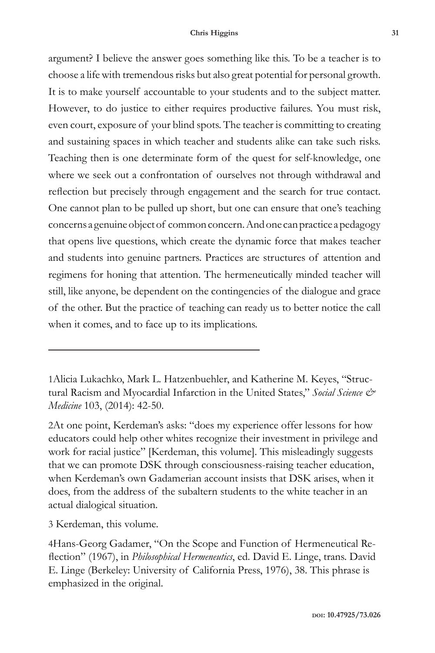argument? I believe the answer goes something like this. To be a teacher is to choose a life with tremendous risks but also great potential for personal growth. It is to make yourself accountable to your students and to the subject matter. However, to do justice to either requires productive failures. You must risk, even court, exposure of your blind spots. The teacher is committing to creating and sustaining spaces in which teacher and students alike can take such risks. Teaching then is one determinate form of the quest for self-knowledge, one where we seek out a confrontation of ourselves not through withdrawal and reflection but precisely through engagement and the search for true contact. One cannot plan to be pulled up short, but one can ensure that one's teaching concerns a genuine object of common concern. And one can practice a pedagogy that opens live questions, which create the dynamic force that makes teacher and students into genuine partners. Practices are structures of attention and regimens for honing that attention. The hermeneutically minded teacher will still, like anyone, be dependent on the contingencies of the dialogue and grace of the other. But the practice of teaching can ready us to better notice the call when it comes, and to face up to its implications.

1Alicia Lukachko, Mark L. Hatzenbuehler, and Katherine M. Keyes, "Structural Racism and Myocardial Infarction in the United States," *Social Science & Medicine* 103, (2014): 42-50.

2At one point, Kerdeman's asks: "does my experience offer lessons for how educators could help other whites recognize their investment in privilege and work for racial justice" [Kerdeman, this volume]. This misleadingly suggests that we can promote DSK through consciousness-raising teacher education, when Kerdeman's own Gadamerian account insists that DSK arises, when it does, from the address of the subaltern students to the white teacher in an actual dialogical situation.

3 Kerdeman, this volume.

4Hans-Georg Gadamer, "On the Scope and Function of Hermeneutical Reflection" (1967), in *Philosophical Hermeneutics*, ed. David E. Linge, trans. David E. Linge (Berkeley: University of California Press, 1976), 38. This phrase is emphasized in the original.